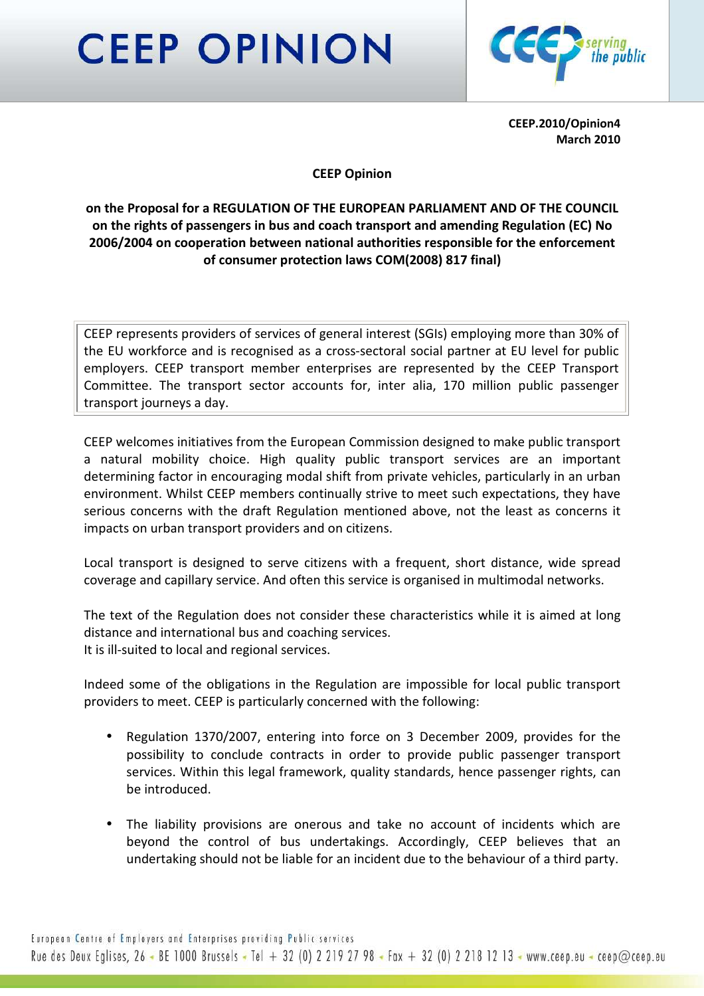## **CEEP OPINION**



CEEP.2010/Opinion4 March 2010

## CEEP Opinion

## on the Proposal for a REGULATION OF THE EUROPEAN PARLIAMENT AND OF THE COUNCIL on the rights of passengers in bus and coach transport and amending Regulation (EC) No 2006/2004 on cooperation between national authorities responsible for the enforcement of consumer protection laws COM(2008) 817 final)

CEEP represents providers of services of general interest (SGIs) employing more than 30% of the EU workforce and is recognised as a cross-sectoral social partner at EU level for public employers. CEEP transport member enterprises are represented by the CEEP Transport Committee. The transport sector accounts for, inter alia, 170 million public passenger transport journeys a day.

CEEP welcomes initiatives from the European Commission designed to make public transport a natural mobility choice. High quality public transport services are an important determining factor in encouraging modal shift from private vehicles, particularly in an urban environment. Whilst CEEP members continually strive to meet such expectations, they have serious concerns with the draft Regulation mentioned above, not the least as concerns it impacts on urban transport providers and on citizens.

Local transport is designed to serve citizens with a frequent, short distance, wide spread coverage and capillary service. And often this service is organised in multimodal networks.

The text of the Regulation does not consider these characteristics while it is aimed at long distance and international bus and coaching services. It is ill-suited to local and regional services.

Indeed some of the obligations in the Regulation are impossible for local public transport providers to meet. CEEP is particularly concerned with the following:

- Regulation 1370/2007, entering into force on 3 December 2009, provides for the possibility to conclude contracts in order to provide public passenger transport services. Within this legal framework, quality standards, hence passenger rights, can be introduced.
- The liability provisions are onerous and take no account of incidents which are beyond the control of bus undertakings. Accordingly, CEEP believes that an undertaking should not be liable for an incident due to the behaviour of a third party.